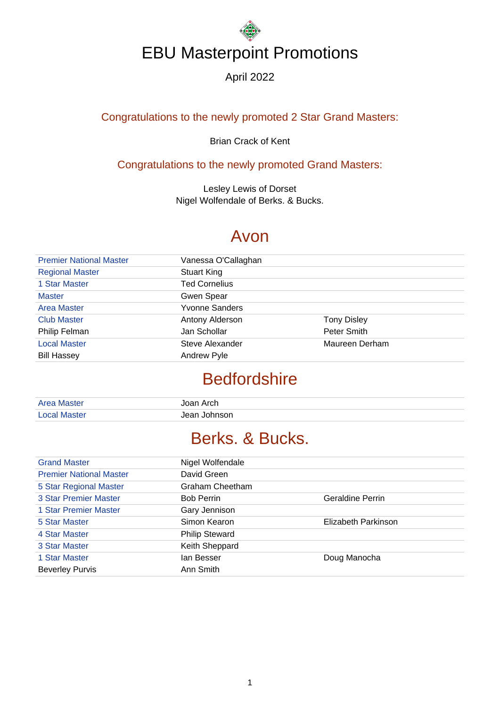#### April 2022

#### Congratulations to the newly promoted 2 Star Grand Masters:

#### Brian Crack of Kent

#### Congratulations to the newly promoted Grand Masters:

Lesley Lewis of Dorset Nigel Wolfendale of Berks. & Bucks.

#### Avon

| <b>Premier National Master</b> | Vanessa O'Callaghan   |                    |
|--------------------------------|-----------------------|--------------------|
| <b>Regional Master</b>         | <b>Stuart King</b>    |                    |
| 1 Star Master                  | <b>Ted Cornelius</b>  |                    |
| <b>Master</b>                  | Gwen Spear            |                    |
| Area Master                    | <b>Yvonne Sanders</b> |                    |
| <b>Club Master</b>             | Antony Alderson       | <b>Tony Disley</b> |
| Philip Felman                  | Jan Schollar          | Peter Smith        |
| <b>Local Master</b>            | Steve Alexander       | Maureen Derham     |
| <b>Bill Hassey</b>             | <b>Andrew Pyle</b>    |                    |

### **Bedfordshire**

| <b>Area Master</b>  | Joan Arch    |
|---------------------|--------------|
| <b>Local Master</b> | Jean Johnson |

### Berks. & Bucks.

| <b>Grand Master</b>            | Nigel Wolfendale      |                         |
|--------------------------------|-----------------------|-------------------------|
| <b>Premier National Master</b> | David Green           |                         |
| 5 Star Regional Master         | Graham Cheetham       |                         |
| <b>3 Star Premier Master</b>   | <b>Bob Perrin</b>     | <b>Geraldine Perrin</b> |
| 1 Star Premier Master          | Gary Jennison         |                         |
| 5 Star Master                  | Simon Kearon          | Elizabeth Parkinson     |
| 4 Star Master                  | <b>Philip Steward</b> |                         |
| 3 Star Master                  | Keith Sheppard        |                         |
| 1 Star Master                  | lan Besser            | Doug Manocha            |
| <b>Beverley Purvis</b>         | Ann Smith             |                         |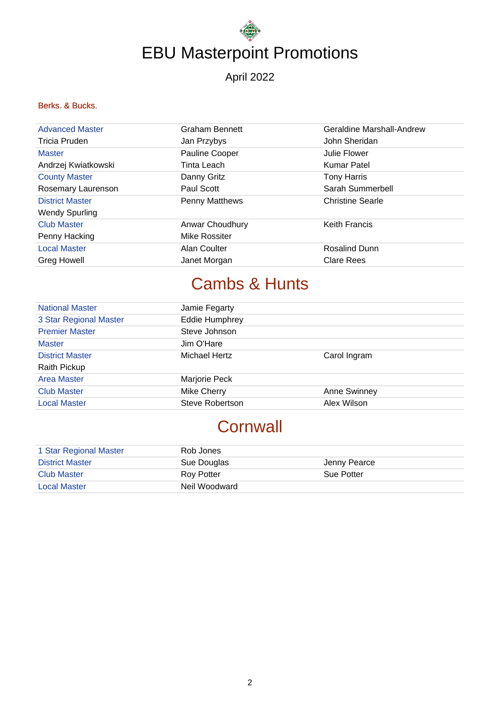April 2022

#### Berks. & Bucks.

| <b>Advanced Master</b> | <b>Graham Bennett</b> | Geraldine Marshall-Andrew |
|------------------------|-----------------------|---------------------------|
| Tricia Pruden          | Jan Przybys           | John Sheridan             |
| <b>Master</b>          | Pauline Cooper        | Julie Flower              |
| Andrzej Kwiatkowski    | Tinta Leach           | <b>Kumar Patel</b>        |
| <b>County Master</b>   | Danny Gritz           | <b>Tony Harris</b>        |
| Rosemary Laurenson     | Paul Scott            | Sarah Summerbell          |
| <b>District Master</b> | Penny Matthews        | <b>Christine Searle</b>   |
| <b>Wendy Spurling</b>  |                       |                           |
| <b>Club Master</b>     | Anwar Choudhury       | <b>Keith Francis</b>      |
| Penny Hacking          | Mike Rossiter         |                           |
| <b>Local Master</b>    | Alan Coulter          | <b>Rosalind Dunn</b>      |
| <b>Greg Howell</b>     | Janet Morgan          | Clare Rees                |

## Cambs & Hunts

| <b>National Master</b> | Jamie Fegarty          |                     |
|------------------------|------------------------|---------------------|
| 3 Star Regional Master | <b>Eddie Humphrey</b>  |                     |
| <b>Premier Master</b>  | Steve Johnson          |                     |
| <b>Master</b>          | Jim O'Hare             |                     |
| <b>District Master</b> | Michael Hertz          | Carol Ingram        |
| Raith Pickup           |                        |                     |
| <b>Area Master</b>     | Marjorie Peck          |                     |
| <b>Club Master</b>     | <b>Mike Cherry</b>     | <b>Anne Swinney</b> |
| <b>Local Master</b>    | <b>Steve Robertson</b> | Alex Wilson         |

## **Cornwall**

| 1 Star Regional Master | Rob Jones     |                   |
|------------------------|---------------|-------------------|
| <b>District Master</b> | Sue Douglas   | Jenny Pearce      |
| Club Master            | Rov Potter    | <b>Sue Potter</b> |
| <b>Local Master</b>    | Neil Woodward |                   |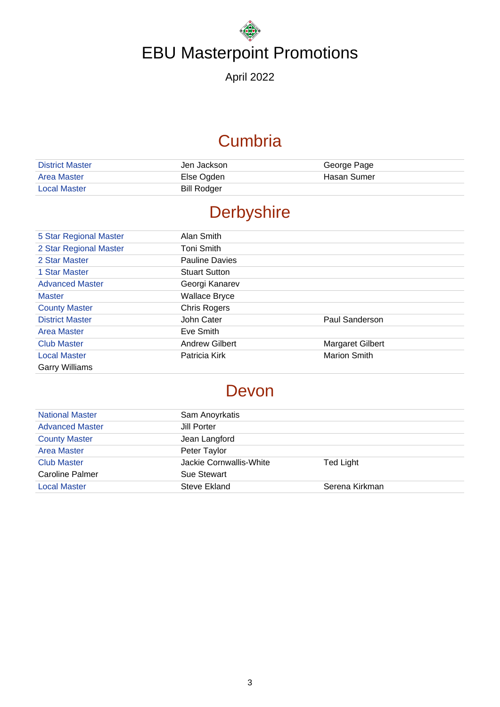April 2022

## **Cumbria**

| <b>District Master</b> | Jen Jackson        | George Page |
|------------------------|--------------------|-------------|
| Area Master            | Else Ogden         | Hasan Sumer |
| <b>Local Master</b>    | <b>Bill Rodger</b> |             |

## **Derbyshire**

| 5 Star Regional Master | Alan Smith            |                         |
|------------------------|-----------------------|-------------------------|
| 2 Star Regional Master | Toni Smith            |                         |
| 2 Star Master          | <b>Pauline Davies</b> |                         |
| 1 Star Master          | <b>Stuart Sutton</b>  |                         |
| <b>Advanced Master</b> | Georgi Kanarev        |                         |
| <b>Master</b>          | <b>Wallace Bryce</b>  |                         |
| <b>County Master</b>   | <b>Chris Rogers</b>   |                         |
| <b>District Master</b> | John Cater            | Paul Sanderson          |
| Area Master            | Eve Smith             |                         |
| <b>Club Master</b>     | <b>Andrew Gilbert</b> | <b>Margaret Gilbert</b> |
| <b>Local Master</b>    | Patricia Kirk         | <b>Marion Smith</b>     |
| <b>Garry Williams</b>  |                       |                         |

### Devon

| <b>National Master</b> | Sam Anoyrkatis          |                |
|------------------------|-------------------------|----------------|
| <b>Advanced Master</b> | Jill Porter             |                |
| <b>County Master</b>   | Jean Langford           |                |
| <b>Area Master</b>     | Peter Taylor            |                |
| <b>Club Master</b>     | Jackie Cornwallis-White | Ted Light      |
| <b>Caroline Palmer</b> | Sue Stewart             |                |
| <b>Local Master</b>    | Steve Ekland            | Serena Kirkman |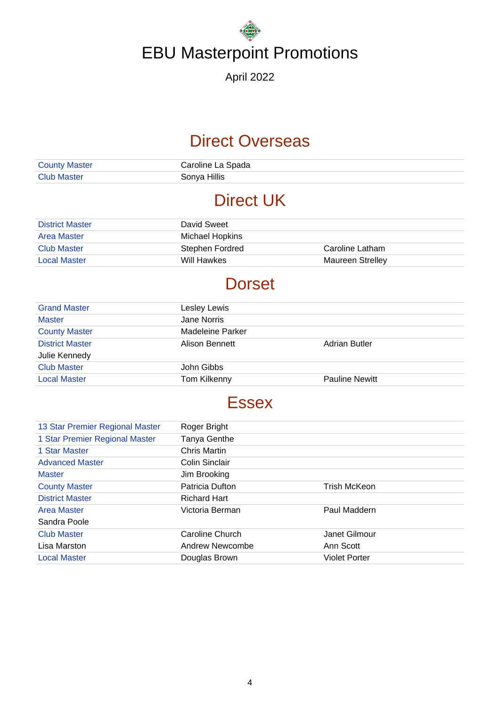April 2022

### Direct Overseas

| <b>County Master</b> | Caroline La Spada |
|----------------------|-------------------|
| <b>Club Master</b>   | Sonya Hillis      |

### Direct UK

| <b>District Master</b> | David Sweet     |                  |
|------------------------|-----------------|------------------|
| Area Master            | Michael Hopkins |                  |
| Club Master            | Stephen Fordred | Caroline Latham  |
| <b>Local Master</b>    | Will Hawkes     | Maureen Strelley |

## **Dorset**

| <b>Grand Master</b>    | Lesley Lewis     |                       |
|------------------------|------------------|-----------------------|
| <b>Master</b>          | Jane Norris      |                       |
| <b>County Master</b>   | Madeleine Parker |                       |
| <b>District Master</b> | Alison Bennett   | Adrian Butler         |
| Julie Kennedy          |                  |                       |
| <b>Club Master</b>     | John Gibbs       |                       |
| <b>Local Master</b>    | Tom Kilkenny     | <b>Pauline Newitt</b> |

### **Essex**

| 13 Star Premier Regional Master | Roger Bright        |                      |
|---------------------------------|---------------------|----------------------|
| 1 Star Premier Regional Master  | Tanya Genthe        |                      |
| 1 Star Master                   | Chris Martin        |                      |
| <b>Advanced Master</b>          | Colin Sinclair      |                      |
| <b>Master</b>                   | Jim Brooking        |                      |
| <b>County Master</b>            | Patricia Dufton     | <b>Trish McKeon</b>  |
| <b>District Master</b>          | <b>Richard Hart</b> |                      |
| <b>Area Master</b>              | Victoria Berman     | Paul Maddern         |
| Sandra Poole                    |                     |                      |
| <b>Club Master</b>              | Caroline Church     | Janet Gilmour        |
| Lisa Marston                    | Andrew Newcombe     | Ann Scott            |
| <b>Local Master</b>             | Douglas Brown       | <b>Violet Porter</b> |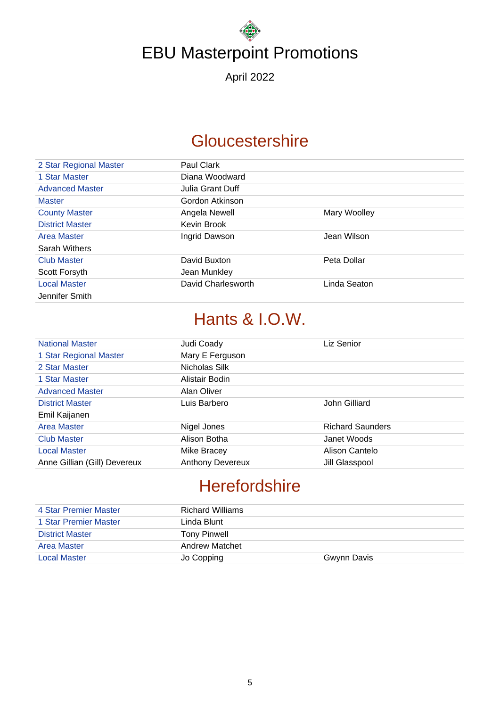April 2022

### **Gloucestershire**

| 2 Star Regional Master | Paul Clark         |              |
|------------------------|--------------------|--------------|
| 1 Star Master          | Diana Woodward     |              |
| <b>Advanced Master</b> | Julia Grant Duff   |              |
| <b>Master</b>          | Gordon Atkinson    |              |
| <b>County Master</b>   | Angela Newell      | Mary Woolley |
| <b>District Master</b> | Kevin Brook        |              |
| Area Master            | Ingrid Dawson      | Jean Wilson  |
| Sarah Withers          |                    |              |
| <b>Club Master</b>     | David Buxton       | Peta Dollar  |
| Scott Forsyth          | Jean Munkley       |              |
| <b>Local Master</b>    | David Charlesworth | Linda Seaton |
| Jennifer Smith         |                    |              |

## Hants & I.O.W.

| <b>National Master</b>       | Judi Coady              | Liz Senior              |
|------------------------------|-------------------------|-------------------------|
| 1 Star Regional Master       | Mary E Ferguson         |                         |
| 2 Star Master                | Nicholas Silk           |                         |
| 1 Star Master                | Alistair Bodin          |                         |
| <b>Advanced Master</b>       | Alan Oliver             |                         |
| <b>District Master</b>       | Luis Barbero            | John Gilliard           |
| Emil Kaijanen                |                         |                         |
| Area Master                  | Nigel Jones             | <b>Richard Saunders</b> |
| <b>Club Master</b>           | Alison Botha            | Janet Woods             |
| <b>Local Master</b>          | Mike Bracey             | Alison Cantelo          |
| Anne Gillian (Gill) Devereux | <b>Anthony Devereux</b> | Jill Glasspool          |

## **Herefordshire**

| 4 Star Premier Master  | <b>Richard Williams</b> |             |
|------------------------|-------------------------|-------------|
| 1 Star Premier Master  | Linda Blunt             |             |
| <b>District Master</b> | Tony Pinwell            |             |
| Area Master            | <b>Andrew Matchet</b>   |             |
| <b>Local Master</b>    | Jo Copping              | Gwynn Davis |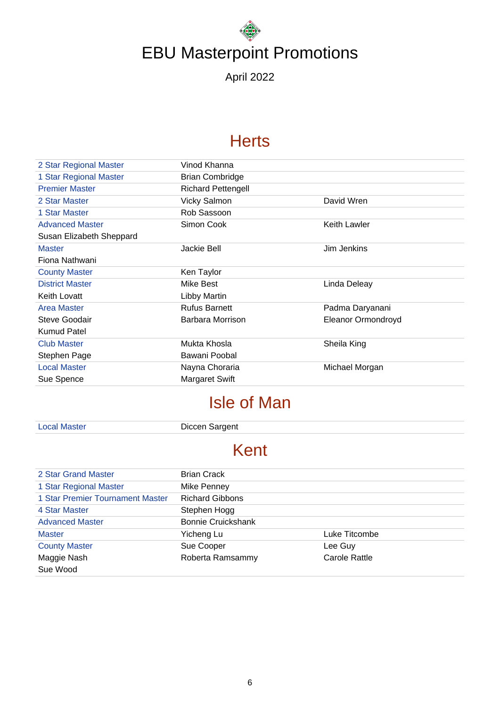April 2022

### **Herts**

| 2 Star Regional Master   | Vinod Khanna              |                    |
|--------------------------|---------------------------|--------------------|
| 1 Star Regional Master   | <b>Brian Combridge</b>    |                    |
| <b>Premier Master</b>    | <b>Richard Pettengell</b> |                    |
| 2 Star Master            | <b>Vicky Salmon</b>       | David Wren         |
| 1 Star Master            | Rob Sassoon               |                    |
| <b>Advanced Master</b>   | Simon Cook                | Keith Lawler       |
| Susan Elizabeth Sheppard |                           |                    |
| <b>Master</b>            | Jackie Bell               | Jim Jenkins        |
| Fiona Nathwani           |                           |                    |
| <b>County Master</b>     | Ken Taylor                |                    |
| <b>District Master</b>   | Mike Best                 | Linda Deleay       |
| Keith Lovatt             | Libby Martin              |                    |
| <b>Area Master</b>       | <b>Rufus Barnett</b>      | Padma Daryanani    |
| Steve Goodair            | Barbara Morrison          | Eleanor Ormondroyd |
| <b>Kumud Patel</b>       |                           |                    |
| <b>Club Master</b>       | Mukta Khosla              | Sheila King        |
| Stephen Page             | Bawani Poobal             |                    |
| <b>Local Master</b>      | Nayna Choraria            | Michael Morgan     |
| Sue Spence               | <b>Margaret Swift</b>     |                    |

## Isle of Man

| <b>Local Master</b> |  |
|---------------------|--|
|                     |  |

Diccen Sargent

## Kent

| 2 Star Grand Master              | <b>Brian Crack</b>        |               |
|----------------------------------|---------------------------|---------------|
| 1 Star Regional Master           | Mike Penney               |               |
| 1 Star Premier Tournament Master | <b>Richard Gibbons</b>    |               |
| 4 Star Master                    | Stephen Hogg              |               |
| <b>Advanced Master</b>           | <b>Bonnie Cruickshank</b> |               |
| <b>Master</b>                    | Yicheng Lu                | Luke Titcombe |
| <b>County Master</b>             | Sue Cooper                | Lee Guy       |
| Maggie Nash                      | Roberta Ramsammy          | Carole Rattle |
| Sue Wood                         |                           |               |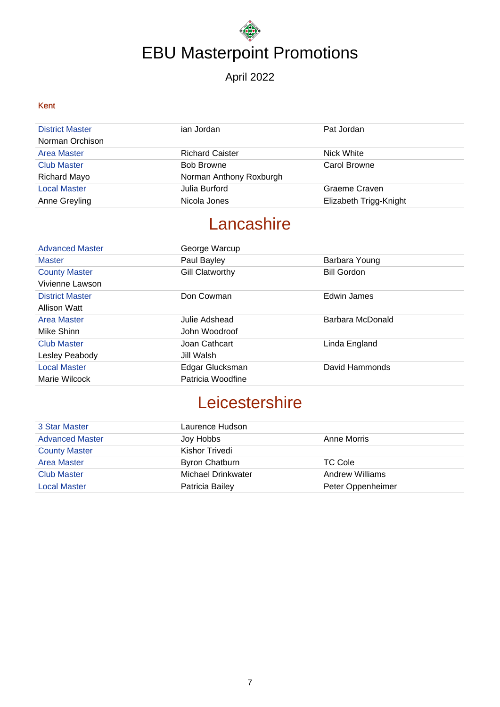#### April 2022

#### Kent

| <b>District Master</b><br>Norman Orchison | ian Jordan              | Pat Jordan             |
|-------------------------------------------|-------------------------|------------------------|
| <b>Area Master</b>                        | <b>Richard Caister</b>  | Nick White             |
| <b>Club Master</b>                        | <b>Bob Browne</b>       | Carol Browne           |
| Richard Mayo                              | Norman Anthony Roxburgh |                        |
| <b>Local Master</b>                       | Julia Burford           | Graeme Craven          |
| Anne Greyling                             | Nicola Jones            | Elizabeth Trigg-Knight |

## **Lancashire**

| <b>Advanced Master</b> | George Warcup          |                    |
|------------------------|------------------------|--------------------|
| <b>Master</b>          | Paul Bayley            | Barbara Young      |
| <b>County Master</b>   | <b>Gill Clatworthy</b> | <b>Bill Gordon</b> |
| Vivienne Lawson        |                        |                    |
| <b>District Master</b> | Don Cowman             | Edwin James        |
| Allison Watt           |                        |                    |
| <b>Area Master</b>     | Julie Adshead          | Barbara McDonald   |
| Mike Shinn             | John Woodroof          |                    |
| <b>Club Master</b>     | Joan Cathcart          | Linda England      |
| Lesley Peabody         | Jill Walsh             |                    |
| <b>Local Master</b>    | Edgar Glucksman        | David Hammonds     |
| Marie Wilcock          | Patricia Woodfine      |                    |

## **Leicestershire**

| 3 Star Master          | Laurence Hudson       |                   |
|------------------------|-----------------------|-------------------|
| <b>Advanced Master</b> | Joy Hobbs             | Anne Morris       |
| <b>County Master</b>   | Kishor Trivedi        |                   |
| Area Master            | <b>Byron Chatburn</b> | TC Cole           |
| <b>Club Master</b>     | Michael Drinkwater    | Andrew Williams   |
| <b>Local Master</b>    | Patricia Bailey       | Peter Oppenheimer |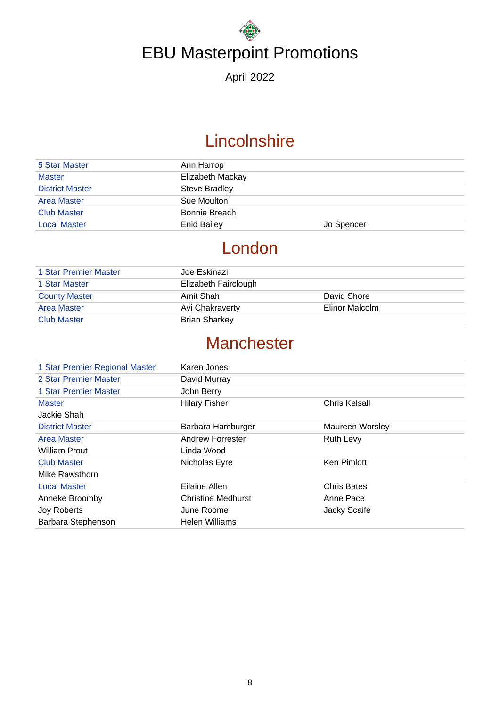April 2022

## **Lincolnshire**

| 5 Star Master          | Ann Harrop         |            |
|------------------------|--------------------|------------|
| <b>Master</b>          | Elizabeth Mackay   |            |
| <b>District Master</b> | Steve Bradley      |            |
| <b>Area Master</b>     | Sue Moulton        |            |
| <b>Club Master</b>     | Bonnie Breach      |            |
| <b>Local Master</b>    | <b>Enid Bailey</b> | Jo Spencer |

## London

| 1 Star Premier Master | Joe Eskinazi         |                |
|-----------------------|----------------------|----------------|
| 1 Star Master         | Elizabeth Fairclough |                |
| <b>County Master</b>  | Amit Shah            | David Shore    |
| <b>Area Master</b>    | Avi Chakraverty      | Elinor Malcolm |
| <b>Club Master</b>    | <b>Brian Sharkey</b> |                |

## **Manchester**

| 1 Star Premier Regional Master | Karen Jones               |                    |
|--------------------------------|---------------------------|--------------------|
| 2 Star Premier Master          | David Murray              |                    |
| 1 Star Premier Master          | John Berry                |                    |
| <b>Master</b>                  | <b>Hilary Fisher</b>      | Chris Kelsall      |
| Jackie Shah                    |                           |                    |
| <b>District Master</b>         | Barbara Hamburger         | Maureen Worsley    |
| <b>Area Master</b>             | <b>Andrew Forrester</b>   | <b>Ruth Levy</b>   |
| <b>William Prout</b>           | Linda Wood                |                    |
| <b>Club Master</b>             | Nicholas Eyre             | <b>Ken Pimlott</b> |
| Mike Rawsthorn                 |                           |                    |
| <b>Local Master</b>            | Eilaine Allen             | <b>Chris Bates</b> |
| Anneke Broomby                 | <b>Christine Medhurst</b> | Anne Pace          |
| Joy Roberts                    | June Roome                | Jacky Scaife       |
| Barbara Stephenson             | Helen Williams            |                    |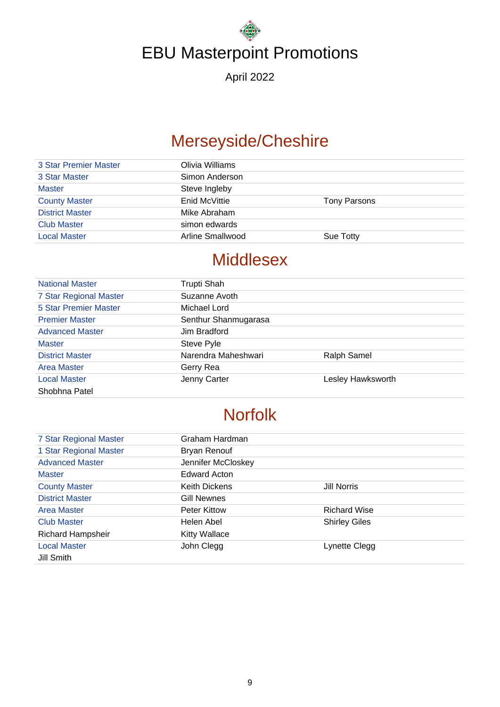April 2022

## Merseyside/Cheshire

| 3 Star Premier Master  | Olivia Williams  |              |
|------------------------|------------------|--------------|
| 3 Star Master          | Simon Anderson   |              |
| <b>Master</b>          | Steve Ingleby    |              |
| <b>County Master</b>   | Enid McVittie    | Tony Parsons |
| <b>District Master</b> | Mike Abraham     |              |
| <b>Club Master</b>     | simon edwards    |              |
| <b>Local Master</b>    | Arline Smallwood | Sue Totty    |
|                        |                  |              |

### **Middlesex**

| <b>National Master</b>       | Trupti Shah          |                   |
|------------------------------|----------------------|-------------------|
| 7 Star Regional Master       | Suzanne Avoth        |                   |
| <b>5 Star Premier Master</b> | Michael Lord         |                   |
| <b>Premier Master</b>        | Senthur Shanmugarasa |                   |
| <b>Advanced Master</b>       | Jim Bradford         |                   |
| <b>Master</b>                | Steve Pyle           |                   |
| <b>District Master</b>       | Narendra Maheshwari  | Ralph Samel       |
| <b>Area Master</b>           | Gerry Rea            |                   |
| <b>Local Master</b>          | Jenny Carter         | Lesley Hawksworth |
| Shobhna Patel                |                      |                   |

## Norfolk

| <b>7 Star Regional Master</b> | Graham Hardman       |                      |
|-------------------------------|----------------------|----------------------|
| 1 Star Regional Master        | Bryan Renouf         |                      |
| <b>Advanced Master</b>        | Jennifer McCloskey   |                      |
| <b>Master</b>                 | <b>Edward Acton</b>  |                      |
| <b>County Master</b>          | Keith Dickens        | Jill Norris          |
| <b>District Master</b>        | Gill Newnes          |                      |
| <b>Area Master</b>            | <b>Peter Kittow</b>  | <b>Richard Wise</b>  |
| <b>Club Master</b>            | Helen Abel           | <b>Shirley Giles</b> |
| <b>Richard Hampsheir</b>      | <b>Kitty Wallace</b> |                      |
| <b>Local Master</b>           | John Clegg           | Lynette Clegg        |
| Jill Smith                    |                      |                      |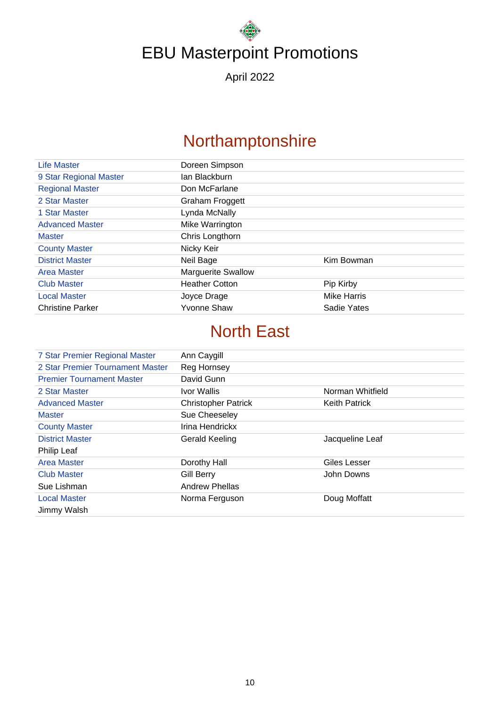April 2022

## Northamptonshire

| Life Master             | Doreen Simpson            |                    |
|-------------------------|---------------------------|--------------------|
| 9 Star Regional Master  | lan Blackburn             |                    |
| <b>Regional Master</b>  | Don McFarlane             |                    |
| 2 Star Master           | Graham Froggett           |                    |
| 1 Star Master           | Lynda McNally             |                    |
| <b>Advanced Master</b>  | Mike Warrington           |                    |
| <b>Master</b>           | Chris Longthorn           |                    |
| <b>County Master</b>    | Nicky Keir                |                    |
| <b>District Master</b>  | Neil Bage                 | Kim Bowman         |
| <b>Area Master</b>      | <b>Marguerite Swallow</b> |                    |
| <b>Club Master</b>      | <b>Heather Cotton</b>     | Pip Kirby          |
| <b>Local Master</b>     | Joyce Drage               | <b>Mike Harris</b> |
| <b>Christine Parker</b> | Yvonne Shaw               | Sadie Yates        |

## North East

| 7 Star Premier Regional Master   | Ann Caygill                |                      |
|----------------------------------|----------------------------|----------------------|
| 2 Star Premier Tournament Master | Reg Hornsey                |                      |
| <b>Premier Tournament Master</b> | David Gunn                 |                      |
| 2 Star Master                    | Ivor Wallis                | Norman Whitfield     |
| <b>Advanced Master</b>           | <b>Christopher Patrick</b> | <b>Keith Patrick</b> |
| <b>Master</b>                    | Sue Cheeseley              |                      |
| <b>County Master</b>             | Irina Hendrickx            |                      |
| <b>District Master</b>           | Gerald Keeling             | Jacqueline Leaf      |
| Philip Leaf                      |                            |                      |
| <b>Area Master</b>               | Dorothy Hall               | Giles Lesser         |
| <b>Club Master</b>               | <b>Gill Berry</b>          | John Downs           |
| Sue Lishman                      | <b>Andrew Phellas</b>      |                      |
| <b>Local Master</b>              | Norma Ferguson             | Doug Moffatt         |
| Jimmy Walsh                      |                            |                      |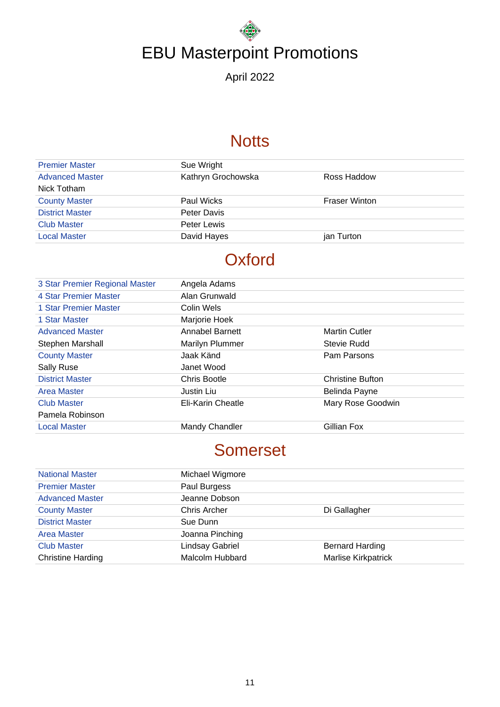April 2022

### **Notts**

| <b>Premier Master</b>  | Sue Wright         |                      |
|------------------------|--------------------|----------------------|
| <b>Advanced Master</b> | Kathryn Grochowska | Ross Haddow          |
| Nick Totham            |                    |                      |
| <b>County Master</b>   | Paul Wicks         | <b>Fraser Winton</b> |
| <b>District Master</b> | Peter Davis        |                      |
| <b>Club Master</b>     | Peter Lewis        |                      |
| <b>Local Master</b>    | David Hayes        | jan Turton           |
|                        |                    |                      |

## **Oxford**

| Mary Rose Goodwin       |
|-------------------------|
|                         |
|                         |
| <b>Christine Bufton</b> |

## Somerset

| <b>National Master</b>   | Michael Wigmore     |                            |
|--------------------------|---------------------|----------------------------|
| <b>Premier Master</b>    | Paul Burgess        |                            |
| <b>Advanced Master</b>   | Jeanne Dobson       |                            |
| <b>County Master</b>     | <b>Chris Archer</b> | Di Gallagher               |
| <b>District Master</b>   | Sue Dunn            |                            |
| <b>Area Master</b>       | Joanna Pinching     |                            |
| <b>Club Master</b>       | Lindsay Gabriel     | <b>Bernard Harding</b>     |
| <b>Christine Harding</b> | Malcolm Hubbard     | <b>Marlise Kirkpatrick</b> |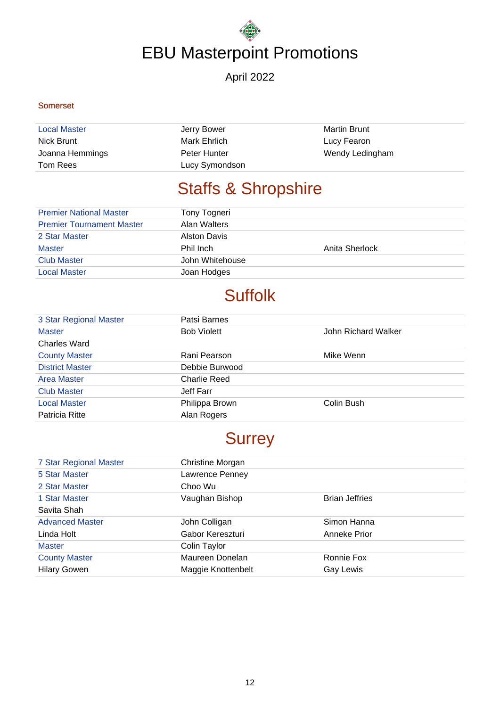#### April 2022

#### Somerset

| <b>Local Master</b> | Jerry Bower    | <b>Martin Brunt</b> |
|---------------------|----------------|---------------------|
| Nick Brunt          | Mark Ehrlich   | Lucy Fearon         |
| Joanna Hemmings     | Peter Hunter   | Wendy Ledingham     |
| Tom Rees            | Lucy Symondson |                     |

## Staffs & Shropshire

| <b>Premier National Master</b>   | Tony Togneri        |                |
|----------------------------------|---------------------|----------------|
| <b>Premier Tournament Master</b> | Alan Walters        |                |
| 2 Star Master                    | <b>Alston Davis</b> |                |
| <b>Master</b>                    | Phil Inch           | Anita Sherlock |
| <b>Club Master</b>               | John Whitehouse     |                |
| <b>Local Master</b>              | Joan Hodges         |                |

## **Suffolk**

| 3 Star Regional Master | Patsi Barnes        |                     |
|------------------------|---------------------|---------------------|
| <b>Master</b>          | <b>Bob Violett</b>  | John Richard Walker |
| <b>Charles Ward</b>    |                     |                     |
| <b>County Master</b>   | Rani Pearson        | Mike Wenn           |
| <b>District Master</b> | Debbie Burwood      |                     |
| Area Master            | <b>Charlie Reed</b> |                     |
| <b>Club Master</b>     | Jeff Farr           |                     |
| <b>Local Master</b>    | Philippa Brown      | Colin Bush          |
| Patricia Ritte         | Alan Rogers         |                     |

## **Surrey**

| 7 Star Regional Master | Christine Morgan   |                       |
|------------------------|--------------------|-----------------------|
| 5 Star Master          | Lawrence Penney    |                       |
| 2 Star Master          | Choo Wu            |                       |
| 1 Star Master          | Vaughan Bishop     | <b>Brian Jeffries</b> |
| Savita Shah            |                    |                       |
| <b>Advanced Master</b> | John Colligan      | Simon Hanna           |
| Linda Holt             | Gabor Kereszturi   | Anneke Prior          |
| <b>Master</b>          | Colin Taylor       |                       |
| <b>County Master</b>   | Maureen Donelan    | Ronnie Fox            |
| <b>Hilary Gowen</b>    | Maggie Knottenbelt | Gay Lewis             |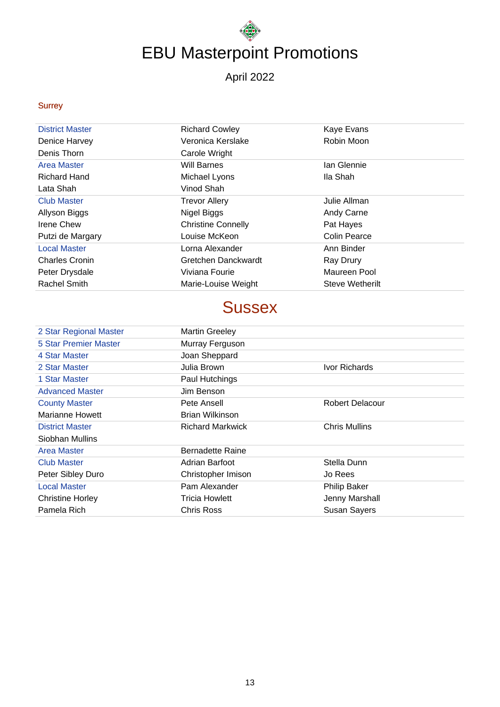April 2022

#### Surrey

| <b>District Master</b> | <b>Richard Cowley</b>     | Kaye Evans             |
|------------------------|---------------------------|------------------------|
| Denice Harvey          | Veronica Kerslake         | Robin Moon             |
| Denis Thorn            | Carole Wright             |                        |
| Area Master            | <b>Will Barnes</b>        | Ian Glennie            |
| <b>Richard Hand</b>    | Michael Lyons             | Ila Shah               |
| Lata Shah              | Vinod Shah                |                        |
| <b>Club Master</b>     | <b>Trevor Allery</b>      | Julie Allman           |
| Allyson Biggs          | Nigel Biggs               | Andy Carne             |
| Irene Chew             | <b>Christine Connelly</b> | Pat Hayes              |
| Putzi de Margary       | Louise McKeon             | Colin Pearce           |
| <b>Local Master</b>    | Lorna Alexander           | Ann Binder             |
| <b>Charles Cronin</b>  | Gretchen Danckwardt       | Ray Drury              |
| Peter Drysdale         | Viviana Fourie            | Maureen Pool           |
| <b>Rachel Smith</b>    | Marie-Louise Weight       | <b>Steve Wetherilt</b> |

### **Sussex**

| <b>Martin Greeley</b>   |                        |
|-------------------------|------------------------|
| Murray Ferguson         |                        |
| Joan Sheppard           |                        |
| Julia Brown             | Ivor Richards          |
| Paul Hutchings          |                        |
| Jim Benson              |                        |
| Pete Ansell             | <b>Robert Delacour</b> |
| Brian Wilkinson         |                        |
| <b>Richard Markwick</b> | <b>Chris Mullins</b>   |
|                         |                        |
| <b>Bernadette Raine</b> |                        |
| Adrian Barfoot          | Stella Dunn            |
| Christopher Imison      | Jo Rees                |
| Pam Alexander           | <b>Philip Baker</b>    |
| <b>Tricia Howlett</b>   | Jenny Marshall         |
| Chris Ross              | <b>Susan Sayers</b>    |
|                         |                        |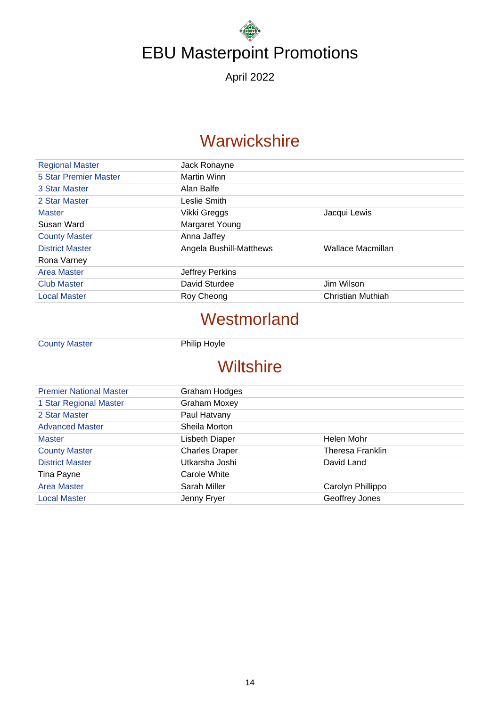April 2022

### **Warwickshire**

| <b>Regional Master</b> | Jack Ronayne            |                   |
|------------------------|-------------------------|-------------------|
| 5 Star Premier Master  | Martin Winn             |                   |
| 3 Star Master          | Alan Balfe              |                   |
| 2 Star Master          | Leslie Smith            |                   |
| <b>Master</b>          | Vikki Greggs            | Jacqui Lewis      |
| Susan Ward             | Margaret Young          |                   |
| <b>County Master</b>   | Anna Jaffey             |                   |
| <b>District Master</b> | Angela Bushill-Matthews | Wallace Macmillan |
| Rona Varney            |                         |                   |
| Area Master            | Jeffrey Perkins         |                   |
| <b>Club Master</b>     | David Sturdee           | Jim Wilson        |
| <b>Local Master</b>    | Roy Cheong              | Christian Muthiah |
|                        |                         |                   |

#### **Westmorland**

County Master Philip Hoyle

## **Wiltshire**

| <b>Premier National Master</b> | Graham Hodges         |                   |
|--------------------------------|-----------------------|-------------------|
| 1 Star Regional Master         | Graham Moxey          |                   |
| 2 Star Master                  | Paul Hatvany          |                   |
| <b>Advanced Master</b>         | Sheila Morton         |                   |
| <b>Master</b>                  | Lisbeth Diaper        | Helen Mohr        |
| <b>County Master</b>           | <b>Charles Draper</b> | Theresa Franklin  |
| <b>District Master</b>         | Utkarsha Joshi        | David Land        |
| Tina Payne                     | Carole White          |                   |
| <b>Area Master</b>             | Sarah Miller          | Carolyn Phillippo |
| <b>Local Master</b>            | Jenny Fryer           | Geoffrey Jones    |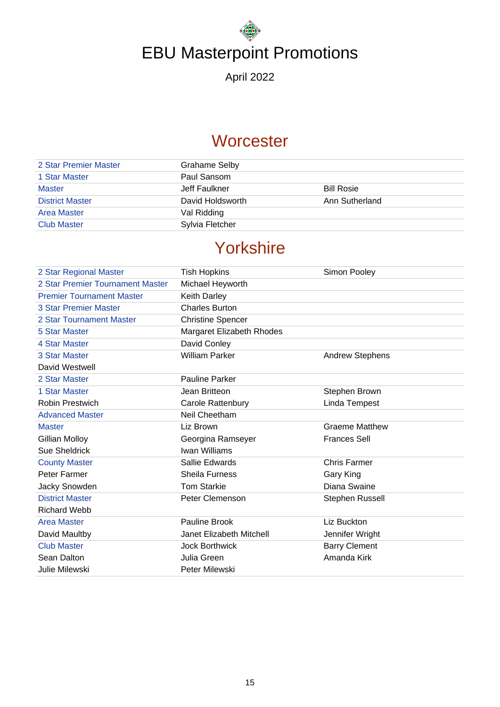April 2022

### **Worcester**

| 2 Star Premier Master  | Grahame Selby    |                   |
|------------------------|------------------|-------------------|
| 1 Star Master          | Paul Sansom      |                   |
| <b>Master</b>          | Jeff Faulkner    | <b>Bill Rosie</b> |
| <b>District Master</b> | David Holdsworth | Ann Sutherland    |
| <b>Area Master</b>     | Val Ridding      |                   |
| <b>Club Master</b>     | Sylvia Fletcher  |                   |
|                        |                  |                   |

## Yorkshire

| 2 Star Regional Master           | <b>Tish Hopkins</b>       | Simon Pooley           |
|----------------------------------|---------------------------|------------------------|
| 2 Star Premier Tournament Master | Michael Heyworth          |                        |
| <b>Premier Tournament Master</b> | <b>Keith Darley</b>       |                        |
| <b>3 Star Premier Master</b>     | <b>Charles Burton</b>     |                        |
| 2 Star Tournament Master         | <b>Christine Spencer</b>  |                        |
| 5 Star Master                    | Margaret Elizabeth Rhodes |                        |
| 4 Star Master                    | David Conley              |                        |
| 3 Star Master                    | <b>William Parker</b>     | <b>Andrew Stephens</b> |
| David Westwell                   |                           |                        |
| 2 Star Master                    | <b>Pauline Parker</b>     |                        |
| 1 Star Master                    | Jean Britteon             | Stephen Brown          |
| <b>Robin Prestwich</b>           | Carole Rattenbury         | Linda Tempest          |
| <b>Advanced Master</b>           | Neil Cheetham             |                        |
| <b>Master</b>                    | Liz Brown                 | <b>Graeme Matthew</b>  |
| <b>Gillian Molloy</b>            | Georgina Ramseyer         | <b>Frances Sell</b>    |
| Sue Sheldrick                    | Iwan Williams             |                        |
| <b>County Master</b>             | Sallie Edwards            | <b>Chris Farmer</b>    |
| Peter Farmer                     | <b>Sheila Furness</b>     | Gary King              |
| Jacky Snowden                    | <b>Tom Starkie</b>        | Diana Swaine           |
| <b>District Master</b>           | Peter Clemenson           | Stephen Russell        |
| <b>Richard Webb</b>              |                           |                        |
| <b>Area Master</b>               | Pauline Brook             | Liz Buckton            |
| David Maultby                    | Janet Elizabeth Mitchell  | Jennifer Wright        |
| <b>Club Master</b>               | <b>Jock Borthwick</b>     | <b>Barry Clement</b>   |
| Sean Dalton                      | Julia Green               | Amanda Kirk            |
| Julie Milewski                   | Peter Milewski            |                        |